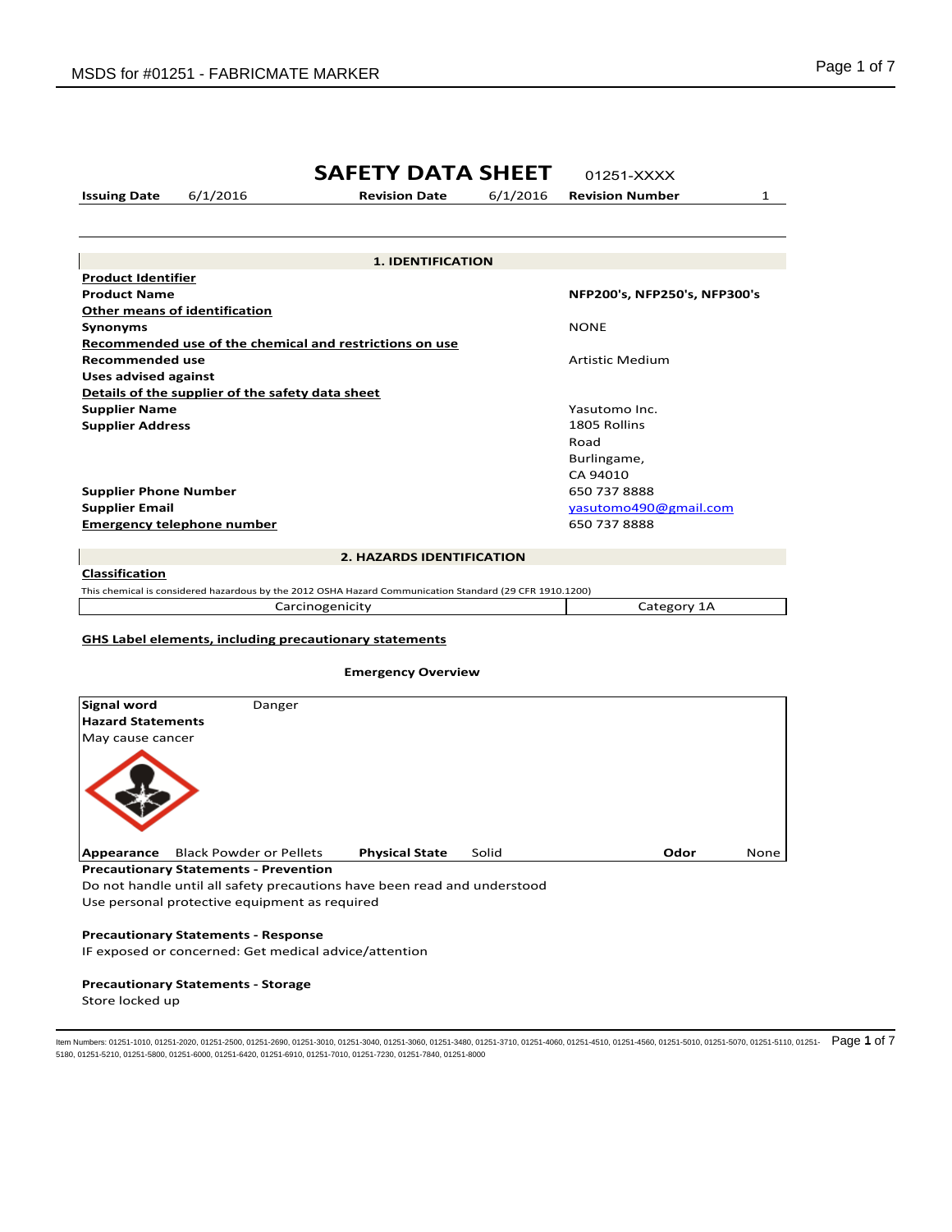# **SAFETY DATA SHEET** 01251-XXXX

**Issuing Date** 6/1/2016 **Revision Date** 6/1/2016 **Revision Number** 1

**Product Identifier Product Name NFP200's, NFP250's, NFP300's Other means of identification Synonyms** NONE **Recommended use of the chemical and restrictions on use Recommended use Artistic Medium Artistic Medium Uses advised against Details of the supplier of the safety data sheet Supplier Name Yasutomo Inc. Supplier Name Yasutomo Inc. Supplier Address** 1805 Rollins Road Burlingame, CA 94010 **Supplier Phone Number 650 737 8888 Supplier Email** yasutomo490@gmail.com **Emergency telephone number 650 737 8888 1. IDENTIFICATION 2. HAZARDS IDENTIFICATION**

## **Classification**

This chemical is considered hazardous by the 2012 OSHA Hazard Communication Standard (29 CFR 1910.1200) Carcinogenicity Category 1A

# **GHS Label elements, including precautionary statements**

# **Emergency Overview**

| <b>Signal word</b>       | Danger                              |                       |       |      |      |
|--------------------------|-------------------------------------|-----------------------|-------|------|------|
| <b>Hazard Statements</b> |                                     |                       |       |      |      |
| May cause cancer         |                                     |                       |       |      |      |
|                          |                                     |                       |       |      |      |
| Appearance               | <b>Black Powder or Pellets</b>      | <b>Physical State</b> | Solid | Odor | None |
|                          | Dessautianam: Chatamante Desuantian |                       |       |      |      |

**Precautionary Statements - Prevention**

Do not handle until all safety precautions have been read and understood Use personal protective equipment as required

## **Precautionary Statements - Response**

IF exposed or concerned: Get medical advice/attention

# **Precautionary Statements - Storage**

Store locked up

ltem Numbers: 01251-1010, 01251-2020, 01251-2500, 01251-2690, 01251-3010, 01251-3040, 01251-3080, 01251-3710, 01251-4060, 01251-4510, 01251-4560, 01251-5010, 01251-5070, 01251-5110, 01251-5110, 01251-5180, 01251-5210, 01251-5800, 01251-6000, 01251-6420, 01251-6910, 01251-7010, 01251-7230, 01251-7840, 01251-8000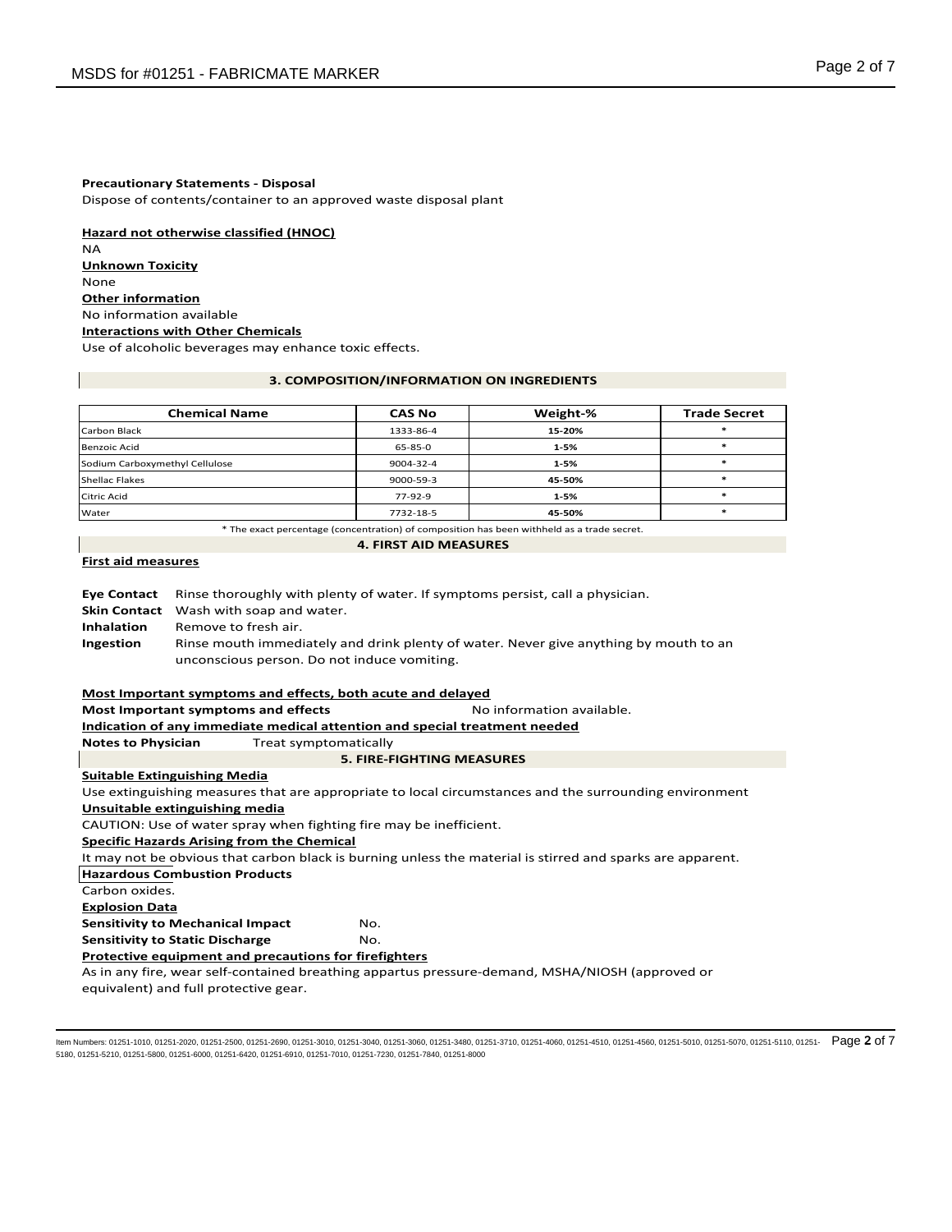#### **Precautionary Statements - Disposal**

Dispose of contents/container to an approved waste disposal plant

**Hazard not otherwise classified (HNOC)** NA **Unknown Toxicity** None **Other information** No information available **Interactions with Other Chemicals**

Use of alcoholic beverages may enhance toxic effects.

#### **3. COMPOSITION/INFORMATION ON INGREDIENTS**

| <b>Chemical Name</b>           | <b>CAS No</b> | Weight-% | <b>Trade Secret</b> |
|--------------------------------|---------------|----------|---------------------|
| Carbon Black                   | 1333-86-4     | 15-20%   |                     |
| Benzoic Acid                   | 65-85-0       | $1 - 5%$ |                     |
| Sodium Carboxymethyl Cellulose | 9004-32-4     | $1 - 5%$ |                     |
| <b>Shellac Flakes</b>          | 9000-59-3     | 45-50%   |                     |
| <b>Citric Acid</b>             | $77-92-9$     | $1 - 5%$ |                     |
| Water                          | 7732-18-5     | 45-50%   |                     |

\* The exact percentage (concentration) of composition has been withheld as a trade secret.

# **4. FIRST AID MEASURES**

# **First aid measures**

**Eye Contact** Rinse thoroughly with plenty of water. If symptoms persist, call a physician. **Skin Contact** Wash with soap and water. **Inhalation** Remove to fresh air. **Ingestion** Rinse mouth immediately and drink plenty of water. Never give anything by mouth to an unconscious person. Do not induce vomiting.

#### **Most Important symptoms and effects, both acute and delayed**

**Most Important symptoms and effects** Noinformation available.

# **Indication of any immediate medical attention and special treatment needed**

**Notes to Physician** Treat symptomatically

```
5. FIRE-FIGHTING MEASURES
```
# **Suitable Extinguishing Media**

Use extinguishing measures that are appropriate to local circumstances and the surrounding environment **Unsuitable extinguishing media** CAUTION: Use of water spray when fighting fire may be inefficient. **Specific Hazards Arising from the Chemical** It may not be obvious that carbon black is burning unless the material is stirred and sparks are apparent. **Hazardous Combustion Products** Carbon oxides. **Explosion Data Sensitivity to Mechanical Impact MO. Sensitivity to Static Discharge MO. Protective equipment and precautions for firefighters** As in any fire, wear self-contained breathing appartus pressure-demand, MSHA/NIOSH (approved or equivalent) and full protective gear.

ltem Numbers: 01251-1010, 01251-2020, 01251-2500, 01251-2690, 01251-3010, 01251-3040, 01251-3080, 01251-3710, 01251-4060, 01251-4510, 01251-5610, 01251-5070, 01251-5110, 01251-5110, 01251-5110, 01251- Page 2 of 7 5180, 01251-5210, 01251-5800, 01251-6000, 01251-6420, 01251-6910, 01251-7010, 01251-7230, 01251-7840, 01251-8000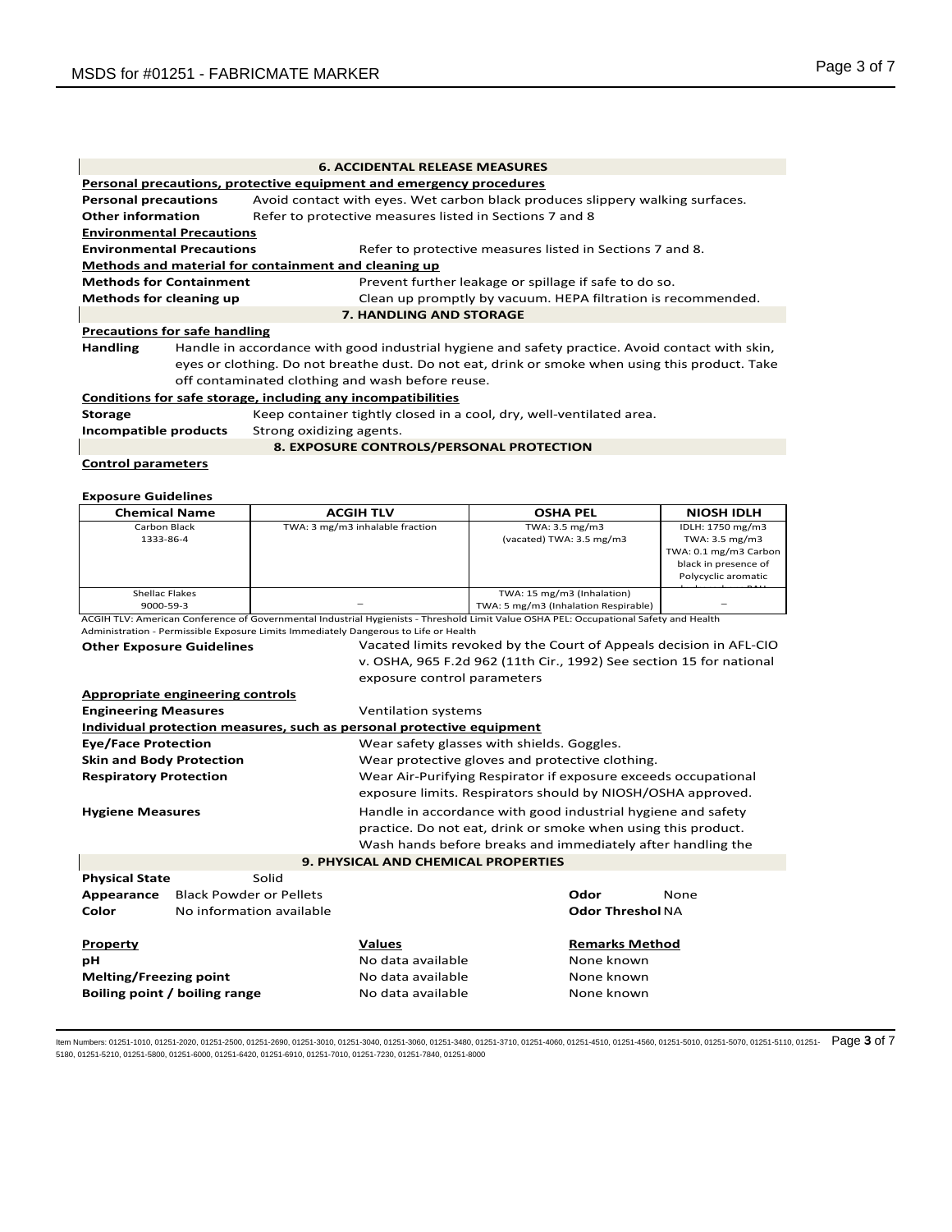| <b>6. ACCIDENTAL RELEASE MEASURES</b>                               |                                                                                                              |                                                                                                 |  |
|---------------------------------------------------------------------|--------------------------------------------------------------------------------------------------------------|-------------------------------------------------------------------------------------------------|--|
| Personal precautions, protective equipment and emergency procedures |                                                                                                              |                                                                                                 |  |
|                                                                     | Avoid contact with eyes. Wet carbon black produces slippery walking surfaces.<br><b>Personal precautions</b> |                                                                                                 |  |
| <b>Other information</b>                                            |                                                                                                              | Refer to protective measures listed in Sections 7 and 8                                         |  |
| <b>Environmental Precautions</b>                                    |                                                                                                              |                                                                                                 |  |
| <b>Environmental Precautions</b>                                    |                                                                                                              | Refer to protective measures listed in Sections 7 and 8.                                        |  |
|                                                                     |                                                                                                              | Methods and material for containment and cleaning up                                            |  |
| <b>Methods for Containment</b>                                      |                                                                                                              | Prevent further leakage or spillage if safe to do so.                                           |  |
| <b>Methods for cleaning up</b>                                      |                                                                                                              | Clean up promptly by vacuum. HEPA filtration is recommended.                                    |  |
|                                                                     |                                                                                                              | <b>7. HANDLING AND STORAGE</b>                                                                  |  |
| <b>Precautions for safe handling</b>                                |                                                                                                              |                                                                                                 |  |
| <b>Handling</b>                                                     |                                                                                                              | Handle in accordance with good industrial hygiene and safety practice. Avoid contact with skin, |  |
|                                                                     | eyes or clothing. Do not breathe dust. Do not eat, drink or smoke when using this product. Take              |                                                                                                 |  |
|                                                                     |                                                                                                              | off contaminated clothing and wash before reuse.                                                |  |
|                                                                     |                                                                                                              | Conditions for safe storage, including any incompatibilities                                    |  |
| <b>Storage</b>                                                      | Keep container tightly closed in a cool, dry, well-ventilated area.                                          |                                                                                                 |  |
| Incompatible products<br>Strong oxidizing agents.                   |                                                                                                              |                                                                                                 |  |
|                                                                     |                                                                                                              | 8. EXPOSURE CONTROLS/PERSONAL PROTECTION                                                        |  |
| <b>Control parameters</b>                                           |                                                                                                              |                                                                                                 |  |

# **Exposure Guidelines**

| <b>Chemical Name</b>             |                                |                                                 | <b>ACGIH TLV</b>                                                                                                                                                                                                              | <b>OSHA PEL</b>                      |                         | <b>NIOSH IDLH</b>                                                   |
|----------------------------------|--------------------------------|-------------------------------------------------|-------------------------------------------------------------------------------------------------------------------------------------------------------------------------------------------------------------------------------|--------------------------------------|-------------------------|---------------------------------------------------------------------|
| Carbon Black                     |                                | TWA: 3 mg/m3 inhalable fraction                 |                                                                                                                                                                                                                               | TWA: 3.5 mg/m3                       |                         | IDLH: 1750 mg/m3                                                    |
| 1333-86-4                        |                                |                                                 |                                                                                                                                                                                                                               | (vacated) TWA: 3.5 mg/m3             |                         | TWA: 3.5 mg/m3                                                      |
|                                  |                                |                                                 |                                                                                                                                                                                                                               |                                      |                         | TWA: 0.1 mg/m3 Carbon                                               |
|                                  |                                |                                                 |                                                                                                                                                                                                                               |                                      |                         | black in presence of                                                |
|                                  |                                |                                                 |                                                                                                                                                                                                                               |                                      |                         | Polycyclic aromatic                                                 |
| <b>Shellac Flakes</b>            |                                |                                                 |                                                                                                                                                                                                                               | TWA: 15 mg/m3 (Inhalation)           |                         |                                                                     |
| 9000-59-3                        |                                |                                                 |                                                                                                                                                                                                                               | TWA: 5 mg/m3 (Inhalation Respirable) |                         |                                                                     |
|                                  |                                |                                                 | ACGIH TLV: American Conference of Governmental Industrial Hygienists - Threshold Limit Value OSHA PEL: Occupational Safety and Health<br>Administration - Permissible Exposure Limits Immediately Dangerous to Life or Health |                                      |                         |                                                                     |
| <b>Other Exposure Guidelines</b> |                                |                                                 |                                                                                                                                                                                                                               |                                      |                         | Vacated limits revoked by the Court of Appeals decision in AFL-CIO  |
|                                  |                                |                                                 |                                                                                                                                                                                                                               |                                      |                         | v. OSHA, 965 F.2d 962 (11th Cir., 1992) See section 15 for national |
|                                  |                                |                                                 | exposure control parameters                                                                                                                                                                                                   |                                      |                         |                                                                     |
| Appropriate engineering controls |                                |                                                 |                                                                                                                                                                                                                               |                                      |                         |                                                                     |
| <b>Engineering Measures</b>      |                                |                                                 | Ventilation systems                                                                                                                                                                                                           |                                      |                         |                                                                     |
|                                  |                                |                                                 | Individual protection measures, such as personal protective equipment                                                                                                                                                         |                                      |                         |                                                                     |
| <b>Eye/Face Protection</b>       |                                |                                                 | Wear safety glasses with shields. Goggles.                                                                                                                                                                                    |                                      |                         |                                                                     |
| <b>Skin and Body Protection</b>  |                                | Wear protective gloves and protective clothing. |                                                                                                                                                                                                                               |                                      |                         |                                                                     |
| <b>Respiratory Protection</b>    |                                |                                                 | Wear Air-Purifying Respirator if exposure exceeds occupational                                                                                                                                                                |                                      |                         |                                                                     |
|                                  |                                |                                                 | exposure limits. Respirators should by NIOSH/OSHA approved.                                                                                                                                                                   |                                      |                         |                                                                     |
| <b>Hygiene Measures</b>          |                                |                                                 | Handle in accordance with good industrial hygiene and safety                                                                                                                                                                  |                                      |                         |                                                                     |
|                                  |                                |                                                 | practice. Do not eat, drink or smoke when using this product.                                                                                                                                                                 |                                      |                         |                                                                     |
|                                  |                                |                                                 | Wash hands before breaks and immediately after handling the                                                                                                                                                                   |                                      |                         |                                                                     |
|                                  |                                |                                                 | <b>9. PHYSICAL AND CHEMICAL PROPERTIES</b>                                                                                                                                                                                    |                                      |                         |                                                                     |
| <b>Physical State</b>            |                                | Solid                                           |                                                                                                                                                                                                                               |                                      |                         |                                                                     |
| Appearance                       | <b>Black Powder or Pellets</b> |                                                 |                                                                                                                                                                                                                               |                                      | Odor                    | None                                                                |
| Color                            |                                | No information available                        |                                                                                                                                                                                                                               |                                      | <b>Odor Threshol NA</b> |                                                                     |
| Property                         |                                | <b>Values</b>                                   |                                                                                                                                                                                                                               | <b>Remarks Method</b>                |                         |                                                                     |
| рH                               |                                | No data available                               |                                                                                                                                                                                                                               | None known                           |                         |                                                                     |
| Melting/Freezing point           |                                |                                                 | No data available                                                                                                                                                                                                             |                                      | None known              |                                                                     |
| Boiling point / boiling range    |                                |                                                 | No data available                                                                                                                                                                                                             |                                      | None known              |                                                                     |

ltem Numbers: 01251-1010, 01251-2020, 01251-2500, 01251-2690, 01251-3010, 01251-3040, 01251-3080, 01251-3710, 01251-4060, 01251-4510, 01251-5010, 01251-5070, 01251-5110, 01251-5110, 01251-5110, 01251- Page 3 of 7 5180, 01251-5210, 01251-5800, 01251-6000, 01251-6420, 01251-6910, 01251-7010, 01251-7230, 01251-7840, 01251-8000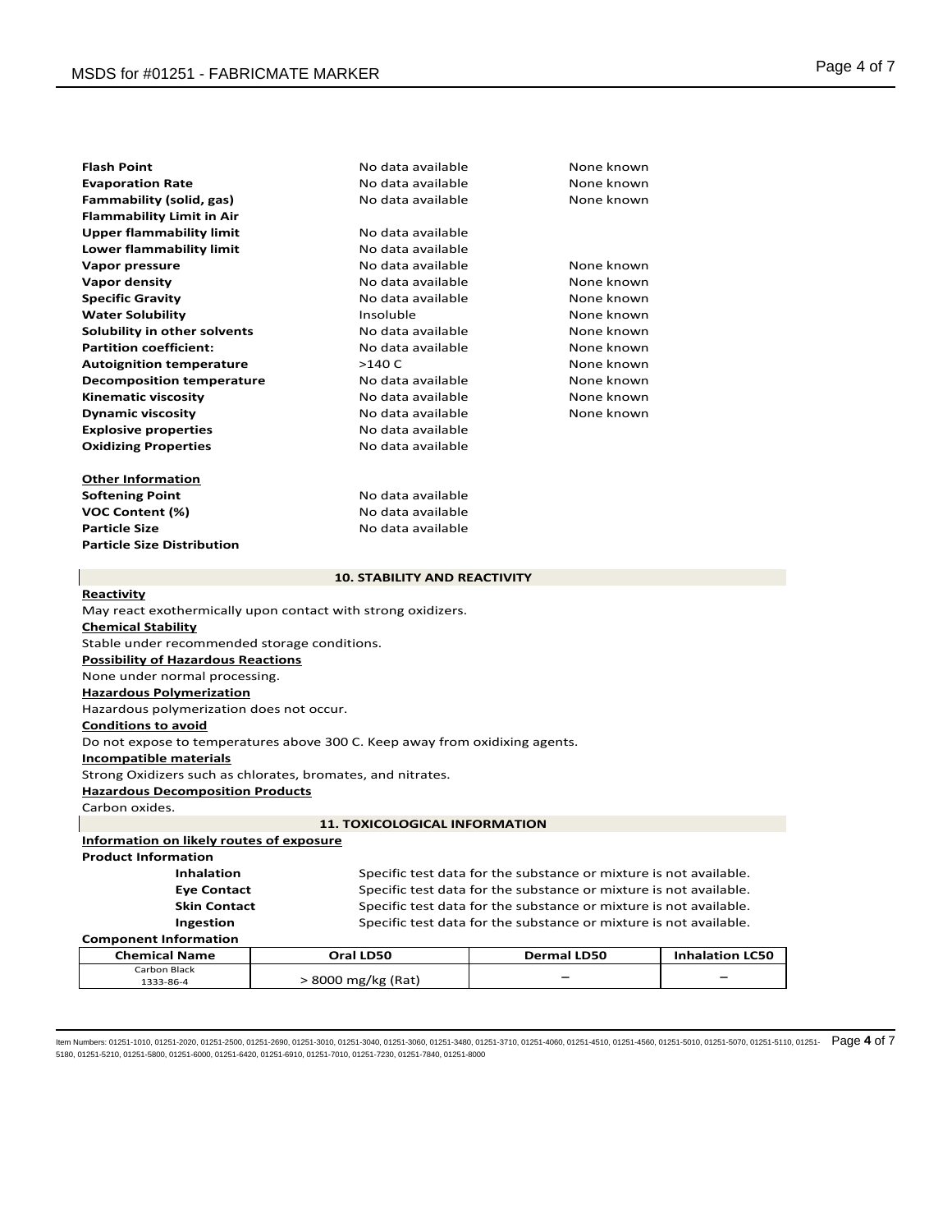| <b>Flash Point</b>                                                                        | No data available                   | None known |  |  |  |
|-------------------------------------------------------------------------------------------|-------------------------------------|------------|--|--|--|
| <b>Evaporation Rate</b>                                                                   | No data available                   | None known |  |  |  |
| Fammability (solid, gas)                                                                  | No data available                   | None known |  |  |  |
| <b>Flammability Limit in Air</b>                                                          |                                     |            |  |  |  |
| <b>Upper flammability limit</b>                                                           | No data available                   |            |  |  |  |
| Lower flammability limit                                                                  | No data available                   |            |  |  |  |
| Vapor pressure                                                                            | No data available                   | None known |  |  |  |
| Vapor density                                                                             | No data available                   | None known |  |  |  |
| <b>Specific Gravity</b>                                                                   | No data available                   | None known |  |  |  |
| <b>Water Solubility</b>                                                                   | Insoluble                           | None known |  |  |  |
| Solubility in other solvents                                                              | No data available                   | None known |  |  |  |
| <b>Partition coefficient:</b>                                                             | No data available                   | None known |  |  |  |
| <b>Autoignition temperature</b>                                                           | >140 C                              | None known |  |  |  |
| <b>Decomposition temperature</b>                                                          | No data available                   | None known |  |  |  |
| <b>Kinematic viscosity</b>                                                                | No data available                   | None known |  |  |  |
| <b>Dynamic viscosity</b>                                                                  | No data available                   | None known |  |  |  |
| <b>Explosive properties</b>                                                               | No data available                   |            |  |  |  |
| <b>Oxidizing Properties</b>                                                               | No data available                   |            |  |  |  |
|                                                                                           |                                     |            |  |  |  |
| <b>Other Information</b>                                                                  |                                     |            |  |  |  |
| <b>Softening Point</b>                                                                    | No data available                   |            |  |  |  |
| <b>VOC Content (%)</b>                                                                    | No data available                   |            |  |  |  |
| <b>Particle Size</b>                                                                      | No data available                   |            |  |  |  |
| <b>Particle Size Distribution</b>                                                         |                                     |            |  |  |  |
|                                                                                           | <b>10. STABILITY AND REACTIVITY</b> |            |  |  |  |
| Reactivity                                                                                |                                     |            |  |  |  |
|                                                                                           |                                     |            |  |  |  |
| May react exothermically upon contact with strong oxidizers.<br><b>Chemical Stability</b> |                                     |            |  |  |  |
| Stable under recommended storage conditions.                                              |                                     |            |  |  |  |
| <b>Possibility of Hazardous Reactions</b>                                                 |                                     |            |  |  |  |
| None under normal processing.                                                             |                                     |            |  |  |  |
| <b>Hazardous Polymerization</b>                                                           |                                     |            |  |  |  |
| Hazardous polymerization does not occur.                                                  |                                     |            |  |  |  |
| <b>Conditions to avoid</b>                                                                |                                     |            |  |  |  |

Do not expose to temperatures above 300 C. Keep away from oxidixing agents.

# **Incompatible materials**

Strong Oxidizers such as chlorates, bromates, and nitrates.

**Hazardous Decomposition Products**

Carbon oxides.

# **11. TOXICOLOGICAL INFORMATION**

**Information on likely routes of exposure**

**Product Information**

**Inhalation** Specific test data for the substance or mixture is not available. **Eye Contact** Specific test data for the substance or mixture is not available. **Skin Contact** Specific test data for the substance or mixture is not available. **Ingestion** Specific test data for the substance or mixture is not available.

# **Component Information**

| <b>Chemical Name</b> | Oral LD50          | <b>Dermal LD50</b> | <b>Inhalation LC50</b>   |
|----------------------|--------------------|--------------------|--------------------------|
| Carbon Black         |                    |                    |                          |
| 1333-86-4            | > 8000 mg/kg (Rat) |                    | $\overline{\phantom{0}}$ |

ltem Numbers: 01251-1010, 01251-2020, 01251-2500, 01251-2690, 01251-3010, 01251-3040, 01251-3080, 01251-3710, 01251-4060, 01251-4510, 01251-5010, 01251-5070, 01251-5110, 01251-5110, 01251-5110, 01251- Page 4 of 7 5180, 01251-5210, 01251-5800, 01251-6000, 01251-6420, 01251-6910, 01251-7010, 01251-7230, 01251-7840, 01251-8000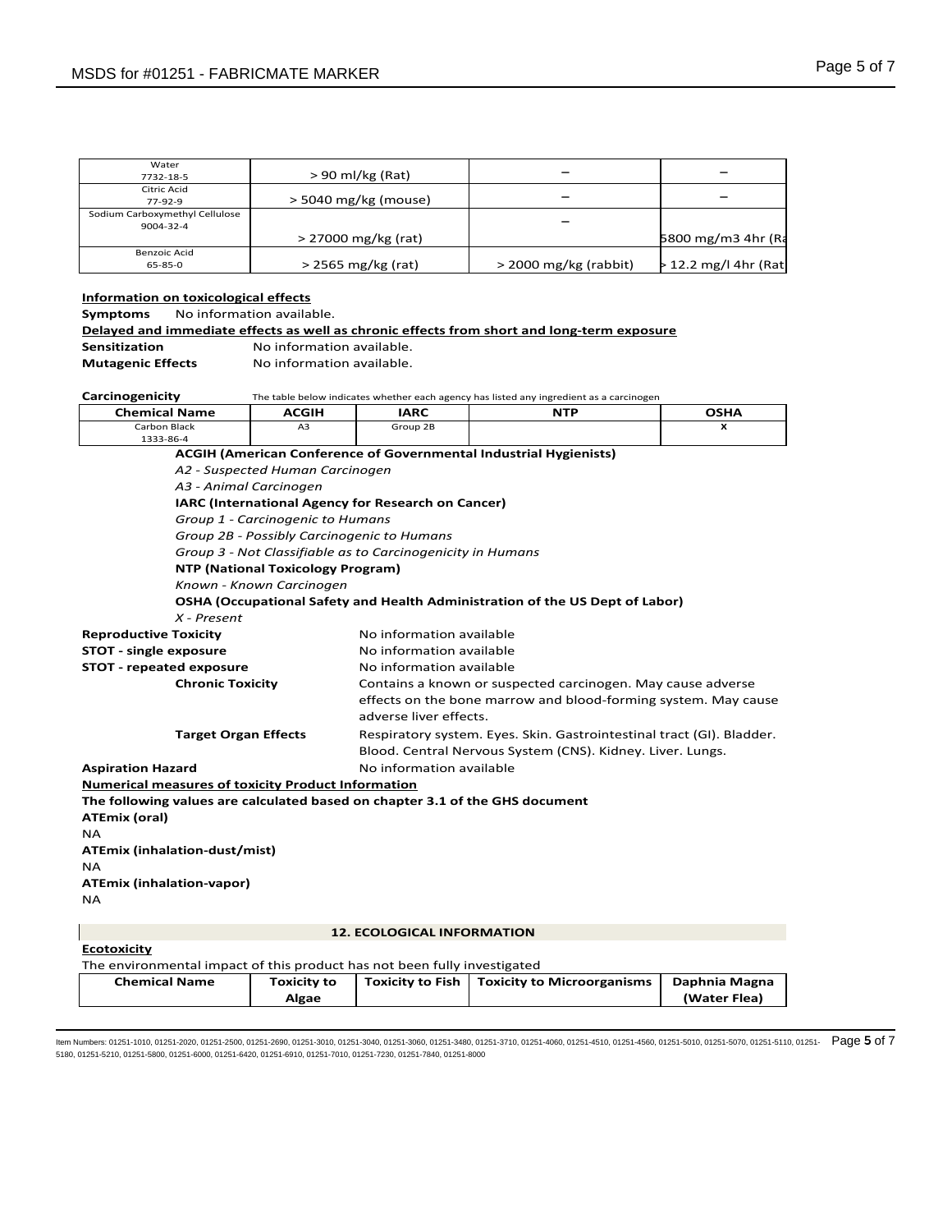| Water                          |                        |                         |                         |
|--------------------------------|------------------------|-------------------------|-------------------------|
| 7732-18-5                      | $> 90$ ml/kg (Rat)     |                         |                         |
| Citric Acid                    |                        |                         |                         |
| $77-92-9$                      | $>$ 5040 mg/kg (mouse) |                         |                         |
| Sodium Carboxymethyl Cellulose |                        |                         |                         |
| 9004-32-4                      |                        |                         |                         |
|                                | $> 27000$ mg/kg (rat)  |                         | 5800 mg/m3 4hr (Ra      |
| Benzoic Acid                   |                        |                         |                         |
| $65 - 85 - 0$                  | $>$ 2565 mg/kg (rat)   | $>$ 2000 mg/kg (rabbit) | $> 12.2$ mg/l 4hr (Rat) |

# **Information on toxicological effects**

**Symptoms** No information available.

|               | Delaved and immediate effects as well as chronic effects from short and long-term exposure |
|---------------|--------------------------------------------------------------------------------------------|
| Sensitization | No information available.                                                                  |

**Mutagenic Effects** No information available.

| Carcinogenicity                                                              |                                            |                                                                | The table below indicates whether each agency has listed any ingredient as a carcinogen |               |  |
|------------------------------------------------------------------------------|--------------------------------------------|----------------------------------------------------------------|-----------------------------------------------------------------------------------------|---------------|--|
| <b>Chemical Name</b>                                                         | <b>ACGIH</b>                               | <b>IARC</b>                                                    | <b>NTP</b>                                                                              | <b>OSHA</b>   |  |
| Carbon Black<br>1333-86-4                                                    | A3                                         | Group 2B                                                       |                                                                                         | x             |  |
|                                                                              |                                            |                                                                | <b>ACGIH (American Conference of Governmental Industrial Hygienists)</b>                |               |  |
|                                                                              | A2 - Suspected Human Carcinogen            |                                                                |                                                                                         |               |  |
| A3 - Animal Carcinogen                                                       |                                            |                                                                |                                                                                         |               |  |
| IARC (International Agency for Research on Cancer)                           |                                            |                                                                |                                                                                         |               |  |
| Group 1 - Carcinogenic to Humans                                             |                                            |                                                                |                                                                                         |               |  |
|                                                                              | Group 2B - Possibly Carcinogenic to Humans |                                                                |                                                                                         |               |  |
|                                                                              |                                            | Group 3 - Not Classifiable as to Carcinogenicity in Humans     |                                                                                         |               |  |
|                                                                              | <b>NTP (National Toxicology Program)</b>   |                                                                |                                                                                         |               |  |
|                                                                              | Known - Known Carcinogen                   |                                                                |                                                                                         |               |  |
|                                                                              |                                            |                                                                | <b>OSHA (Occupational Safety and Health Administration of the US Dept of Labor)</b>     |               |  |
| $X$ - Present                                                                |                                            |                                                                |                                                                                         |               |  |
| <b>Reproductive Toxicity</b>                                                 |                                            | No information available                                       |                                                                                         |               |  |
| <b>STOT - single exposure</b>                                                |                                            | No information available                                       |                                                                                         |               |  |
| <b>STOT</b> - repeated exposure                                              |                                            | No information available                                       |                                                                                         |               |  |
| <b>Chronic Toxicity</b>                                                      |                                            | Contains a known or suspected carcinogen. May cause adverse    |                                                                                         |               |  |
|                                                                              |                                            | effects on the bone marrow and blood-forming system. May cause |                                                                                         |               |  |
|                                                                              |                                            | adverse liver effects.                                         |                                                                                         |               |  |
|                                                                              | <b>Target Organ Effects</b>                |                                                                | Respiratory system. Eyes. Skin. Gastrointestinal tract (GI). Bladder.                   |               |  |
|                                                                              |                                            | Blood. Central Nervous System (CNS). Kidney. Liver. Lungs.     |                                                                                         |               |  |
| <b>Aspiration Hazard</b>                                                     |                                            | No information available                                       |                                                                                         |               |  |
| <b>Numerical measures of toxicity Product Information</b>                    |                                            |                                                                |                                                                                         |               |  |
| The following values are calculated based on chapter 3.1 of the GHS document |                                            |                                                                |                                                                                         |               |  |
| <b>ATEmix (oral)</b>                                                         |                                            |                                                                |                                                                                         |               |  |
| <b>NA</b>                                                                    |                                            |                                                                |                                                                                         |               |  |
| <b>ATEmix (inhalation-dust/mist)</b>                                         |                                            |                                                                |                                                                                         |               |  |
| <b>NA</b>                                                                    |                                            |                                                                |                                                                                         |               |  |
| <b>ATEmix (inhalation-vapor)</b>                                             |                                            |                                                                |                                                                                         |               |  |
| <b>NA</b>                                                                    |                                            |                                                                |                                                                                         |               |  |
|                                                                              |                                            |                                                                |                                                                                         |               |  |
|                                                                              |                                            | <b>12. ECOLOGICAL INFORMATION</b>                              |                                                                                         |               |  |
| <b>Ecotoxicity</b>                                                           |                                            |                                                                |                                                                                         |               |  |
| The environmental impact of this product has not been fully investigated     |                                            |                                                                |                                                                                         |               |  |
| <b>Chemical Name</b>                                                         | <b>Toxicity to</b>                         | <b>Toxicity to Fish</b>                                        | <b>Toxicity to Microorganisms</b>                                                       | Daphnia Magna |  |
|                                                                              | Algae                                      |                                                                |                                                                                         | (Water Flea)  |  |

ltem Numbers: 01251-1010, 01251-2020, 01251-2500, 01251-2690, 01251-3010, 01251-3040, 01251-3080, 01251-3480, 01251-4060, 01251-4510, 01251-4560, 01251-5010, 01251-5070, 01251-5110, 01251-5110, 01251- Page 5 of 7 5180, 01251-5210, 01251-5800, 01251-6000, 01251-6420, 01251-6910, 01251-7010, 01251-7230, 01251-7840, 01251-8000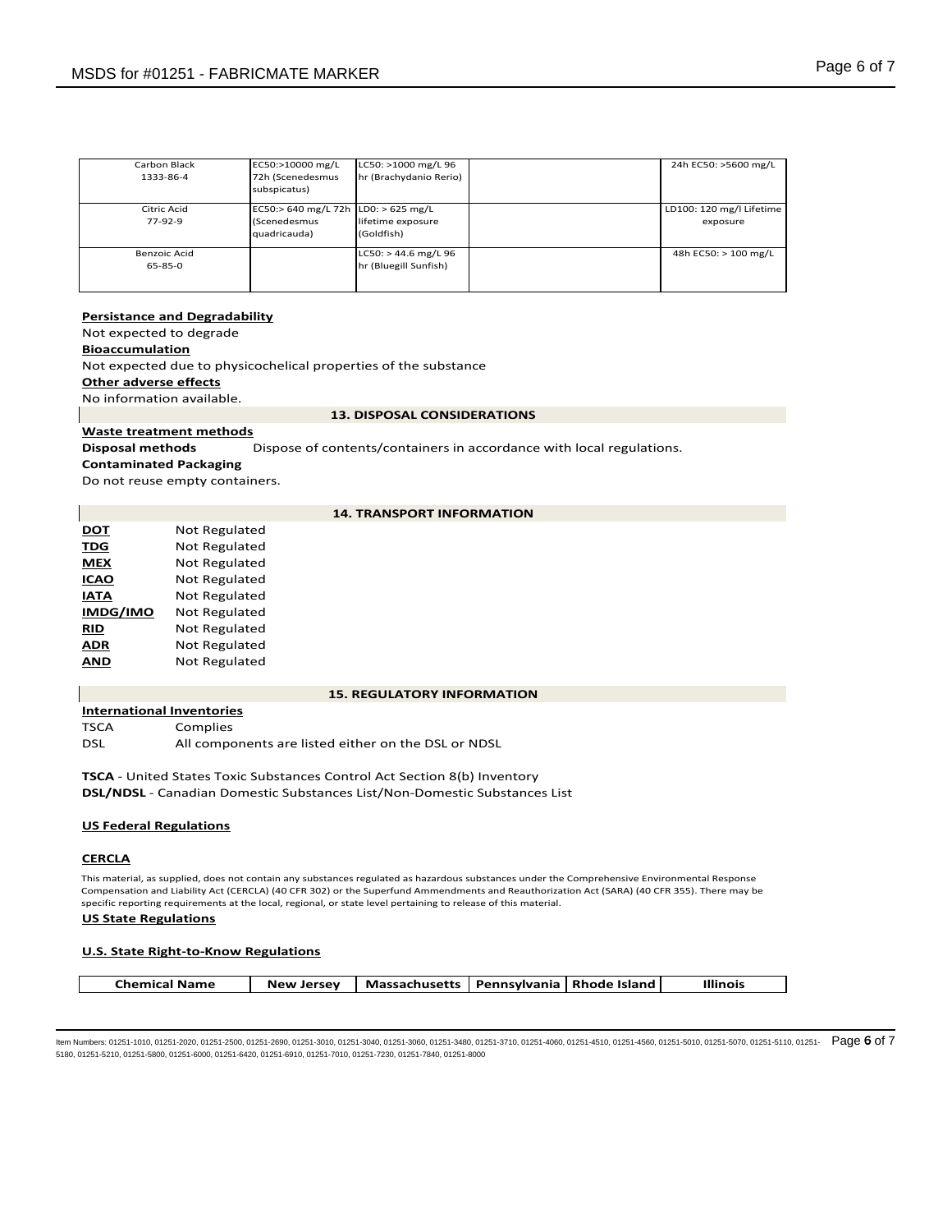| Carbon Black<br>1333-86-4     | EC50:>10000 mg/L<br>72h (Scenedesmus<br>subspicatus)                | LC50: >1000 mg/L 96<br>hr (Brachydanio Rerio)   | 24h EC50: >5600 mg/L                 |
|-------------------------------|---------------------------------------------------------------------|-------------------------------------------------|--------------------------------------|
| Citric Acid<br>$77-92-9$      | EC50:> 640 mg/L 72h LD0: > 625 mg/L<br>(Scenedesmus<br>quadricauda) | lifetime exposure<br>(Goldfish)                 | LD100: 120 mg/l Lifetime<br>exposure |
| Benzoic Acid<br>$65 - 85 - 0$ |                                                                     | $LC50:$ > 44.6 mg/L 96<br>hr (Bluegill Sunfish) | 48h EC50: > 100 mg/L                 |

# **Persistance and Degradability**

Not expected to degrade

# **Bioaccumulation**

Not expected due to physicochelical properties of the substance **Other adverse effects**

No information available.

#### **13. DISPOSAL CONSIDERATIONS**

# **Waste treatment methods**

**Disposal methods** Dispose of contents/containers in accordance with local regulations.

# **Contaminated Packaging**

Do not reuse empty containers.

# **14. TRANSPORT INFORMATION**

| DOT      | Not Regulated        |
|----------|----------------------|
| TDG      | Not Regulated        |
| MEX      | <b>Not Regulated</b> |
| ICAO     | <b>Not Regulated</b> |
| ΙΛΤΑ     | <b>Not Regulated</b> |
| IMDG/IMO | <b>Not Regulated</b> |
| RID      | <b>Not Regulated</b> |
| ADR      | <b>Not Regulated</b> |
|          | Not Regulated        |

# **15. REGULATORY INFORMATION**

**International Inventories** TSCA Complies

DSL All components are listed either on the DSL or NDSL

**TSCA** - United States Toxic Substances Control Act Section 8(b) Inventory **DSL/NDSL** - Canadian Domestic Substances List/Non-Domestic Substances List

# **US Federal Regulations**

# **CERCLA**

This material, as supplied, does not contain any substances regulated as hazardous substances under the Comprehensive Environmental Response Compensation and Liability Act (CERCLA) (40 CFR 302) or the Superfund Ammendments and Reauthorization Act (SARA) (40 CFR 355). There may be specific reporting requirements at the local, regional, or state level pertaining to release of this material.

## **US State Regulations**

## **U.S. State Right-to-Know Regulations**

ltem Numbers: 01251-1010, 01251-2020, 01251-2500, 01251-2690, 01251-3010, 01251-3040, 01251-3080, 01251-3480, 01251-4060, 01251-4510, 01251-4560, 01251-5010, 01251-5070, 01251-5110, 01251-5110, 01251- Page 6 of 7 5180, 01251-5210, 01251-5800, 01251-6000, 01251-6420, 01251-6910, 01251-7010, 01251-7230, 01251-7840, 01251-8000